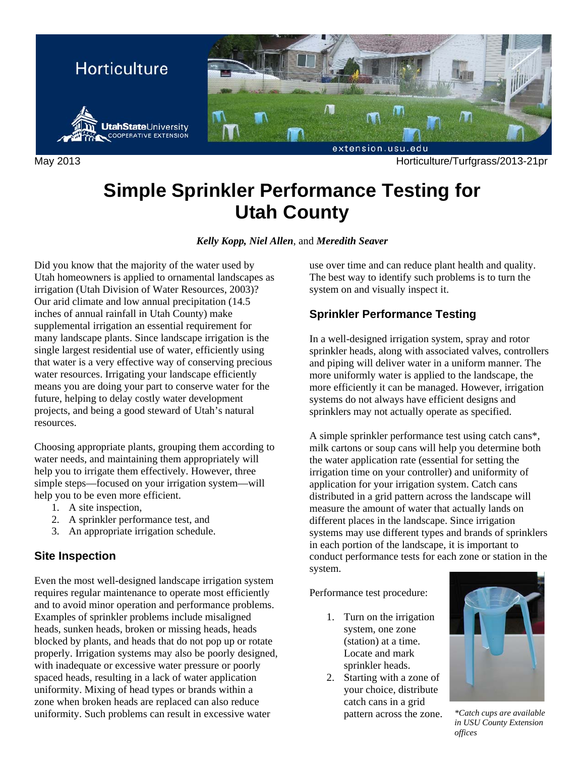

May 2013 Horticulture/Turfgrass/2013-21pr

# **Simple Sprinkler Performance Testing for Utah County**

*Kelly Kopp, Niel Allen*, and *Meredith Seaver* 

Did you know that the majority of the water used by Utah homeowners is applied to ornamental landscapes as irrigation (Utah Division of Water Resources, 2003)? Our arid climate and low annual precipitation (14.5 inches of annual rainfall in Utah County) make supplemental irrigation an essential requirement for many landscape plants. Since landscape irrigation is the single largest residential use of water, efficiently using that water is a very effective way of conserving precious water resources. Irrigating your landscape efficiently means you are doing your part to conserve water for the future, helping to delay costly water development projects, and being a good steward of Utah's natural resources.

Choosing appropriate plants, grouping them according to water needs, and maintaining them appropriately will help you to irrigate them effectively. However, three simple steps—focused on your irrigation system—will help you to be even more efficient.

- 1. A site inspection,
- 2. A sprinkler performance test, and
- 3. An appropriate irrigation schedule.

### **Site Inspection**

Even the most well-designed landscape irrigation system requires regular maintenance to operate most efficiently and to avoid minor operation and performance problems. Examples of sprinkler problems include misaligned heads, sunken heads, broken or missing heads, heads blocked by plants, and heads that do not pop up or rotate properly. Irrigation systems may also be poorly designed, with inadequate or excessive water pressure or poorly spaced heads, resulting in a lack of water application uniformity. Mixing of head types or brands within a zone when broken heads are replaced can also reduce uniformity. Such problems can result in excessive water

use over time and can reduce plant health and quality. The best way to identify such problems is to turn the system on and visually inspect it.

## **Sprinkler Performance Testing**

In a well-designed irrigation system, spray and rotor sprinkler heads, along with associated valves, controllers and piping will deliver water in a uniform manner. The more uniformly water is applied to the landscape, the more efficiently it can be managed. However, irrigation systems do not always have efficient designs and sprinklers may not actually operate as specified.

A simple sprinkler performance test using catch cans\*, milk cartons or soup cans will help you determine both the water application rate (essential for setting the irrigation time on your controller) and uniformity of application for your irrigation system. Catch cans distributed in a grid pattern across the landscape will measure the amount of water that actually lands on different places in the landscape. Since irrigation systems may use different types and brands of sprinklers in each portion of the landscape, it is important to conduct performance tests for each zone or station in the system.

Performance test procedure:

- 1. Turn on the irrigation system, one zone (station) at a time. Locate and mark sprinkler heads.
- 2. Starting with a zone of your choice, distribute catch cans in a grid pattern across the zone. *\*Catch cups are available*



*in USU County Extension offices*